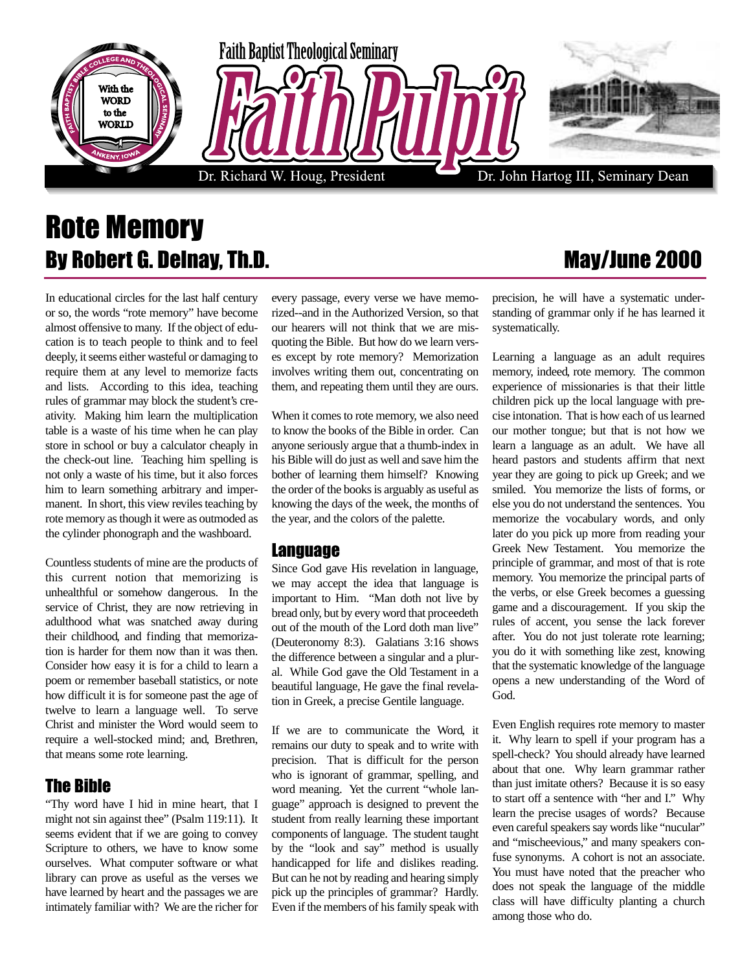

## Rote Memory By Robert G. Deinay, Th.D. May/June 2000

In educational circles for the last half century or so, the words "rote memory" have become almost offensive to many. If the object of education is to teach people to think and to feel deeply, it seems either wasteful or damaging to require them at any level to memorize facts and lists. According to this idea, teaching rules of grammar may block the student's creativity. Making him learn the multiplication table is a waste of his time when he can play store in school or buy a calculator cheaply in the check-out line. Teaching him spelling is not only a waste of his time, but it also forces him to learn something arbitrary and impermanent. In short, this view reviles teaching by rote memory as though it were as outmoded as the cylinder phonograph and the washboard.

Countless students of mine are the products of this current notion that memorizing is unhealthful or somehow dangerous. In the service of Christ, they are now retrieving in adulthood what was snatched away during their childhood, and finding that memorization is harder for them now than it was then. Consider how easy it is for a child to learn a poem or remember baseball statistics, or note how difficult it is for someone past the age of twelve to learn a language well. To serve Christ and minister the Word would seem to require a well-stocked mind; and, Brethren, that means some rote learning.

### The Bible

"Thy word have I hid in mine heart, that I might not sin against thee" (Psalm 119:11). It seems evident that if we are going to convey Scripture to others, we have to know some ourselves. What computer software or what library can prove as useful as the verses we have learned by heart and the passages we are intimately familiar with? We are the richer for every passage, every verse we have memorized--and in the Authorized Version, so that our hearers will not think that we are misquoting the Bible. But how do we learn verses except by rote memory? Memorization involves writing them out, concentrating on them, and repeating them until they are ours.

When it comes to rote memory, we also need to know the books of the Bible in order. Can anyone seriously argue that a thumb-index in his Bible will do just as well and save him the bother of learning them himself? Knowing the order of the books is arguably as useful as knowing the days of the week, the months of the year, and the colors of the palette.

#### Language

Since God gave His revelation in language, we may accept the idea that language is important to Him. "Man doth not live by bread only, but by every word that proceedeth out of the mouth of the Lord doth man live" (Deuteronomy 8:3). Galatians 3:16 shows the difference between a singular and a plural. While God gave the Old Testament in a beautiful language, He gave the final revelation in Greek, a precise Gentile language.

If we are to communicate the Word, it remains our duty to speak and to write with precision. That is difficult for the person who is ignorant of grammar, spelling, and word meaning. Yet the current "whole language" approach is designed to prevent the student from really learning these important components of language. The student taught by the "look and say" method is usually handicapped for life and dislikes reading. But can he not by reading and hearing simply pick up the principles of grammar? Hardly. Even if the members of his family speak with

# precision, he will have a systematic under-

standing of grammar only if he has learned it

systematically.

Learning a language as an adult requires memory, indeed, rote memory. The common experience of missionaries is that their little children pick up the local language with precise intonation. That is how each of us learned our mother tongue; but that is not how we learn a language as an adult. We have all heard pastors and students affirm that next year they are going to pick up Greek; and we smiled. You memorize the lists of forms, or else you do not understand the sentences. You memorize the vocabulary words, and only later do you pick up more from reading your Greek New Testament. You memorize the principle of grammar, and most of that is rote memory. You memorize the principal parts of the verbs, or else Greek becomes a guessing game and a discouragement. If you skip the rules of accent, you sense the lack forever after. You do not just tolerate rote learning; you do it with something like zest, knowing that the systematic knowledge of the language opens a new understanding of the Word of God.

Even English requires rote memory to master it. Why learn to spell if your program has a spell-check? You should already have learned about that one. Why learn grammar rather than just imitate others? Because it is so easy to start off a sentence with "her and I." Why learn the precise usages of words? Because even careful speakers say words like "nucular" and "mischeevious," and many speakers confuse synonyms. A cohort is not an associate. You must have noted that the preacher who does not speak the language of the middle class will have difficulty planting a church among those who do.